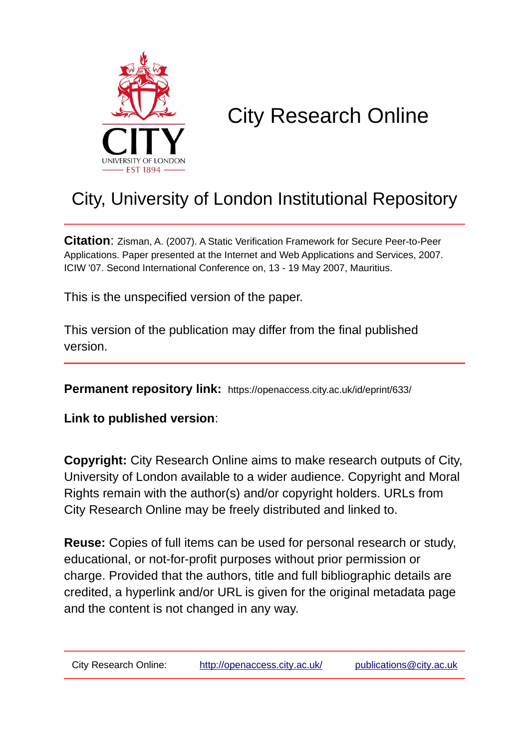

# City Research Online

# City, University of London Institutional Repository

**Citation**: Zisman, A. (2007). A Static Verification Framework for Secure Peer-to-Peer Applications. Paper presented at the Internet and Web Applications and Services, 2007. ICIW '07. Second International Conference on, 13 - 19 May 2007, Mauritius.

This is the unspecified version of the paper.

This version of the publication may differ from the final published version.

**Permanent repository link:** https://openaccess.city.ac.uk/id/eprint/633/

**Link to published version**:

**Copyright:** City Research Online aims to make research outputs of City, University of London available to a wider audience. Copyright and Moral Rights remain with the author(s) and/or copyright holders. URLs from City Research Online may be freely distributed and linked to.

**Reuse:** Copies of full items can be used for personal research or study, educational, or not-for-profit purposes without prior permission or charge. Provided that the authors, title and full bibliographic details are credited, a hyperlink and/or URL is given for the original metadata page and the content is not changed in any way.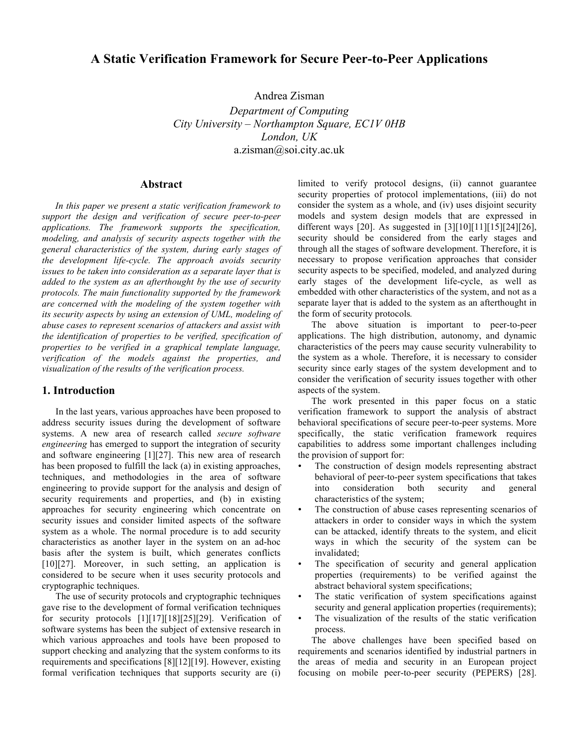# **A Static Verification Framework for Secure Peer-to-Peer Applications**

Andrea Zisman

*Department of Computing City University – Northampton Square, EC1V 0HB London, UK* a.zisman@soi.city.ac.uk

#### **Abstract**

*In this paper we present a static verification framework to support the design and verification of secure peer-to-peer applications. The framework supports the specification, modeling, and analysis of security aspects together with the general characteristics of the system, during early stages of the development life-cycle. The approach avoids security issues to be taken into consideration as a separate layer that is added to the system as an afterthought by the use of security protocols. The main functionality supported by the framework are concerned with the modeling of the system together with its security aspects by using an extension of UML, modeling of abuse cases to represent scenarios of attackers and assist with the identification of properties to be verified, specification of properties to be verified in a graphical template language, verification of the models against the properties, and visualization of the results of the verification process.* 

# **1. Introduction**

In the last years, various approaches have been proposed to address security issues during the development of software systems. A new area of research called *secure software engineering* has emerged to support the integration of security and software engineering [1][27]. This new area of research has been proposed to fulfill the lack (a) in existing approaches, techniques, and methodologies in the area of software engineering to provide support for the analysis and design of security requirements and properties, and (b) in existing approaches for security engineering which concentrate on security issues and consider limited aspects of the software system as a whole. The normal procedure is to add security characteristics as another layer in the system on an ad-hoc basis after the system is built, which generates conflicts [10][27]. Moreover, in such setting, an application is considered to be secure when it uses security protocols and cryptographic techniques.

The use of security protocols and cryptographic techniques gave rise to the development of formal verification techniques for security protocols [1][17][18][25][29]. Verification of software systems has been the subject of extensive research in which various approaches and tools have been proposed to support checking and analyzing that the system conforms to its requirements and specifications [8][12][19]. However, existing formal verification techniques that supports security are (i) limited to verify protocol designs, (ii) cannot guarantee security properties of protocol implementations, (iii) do not consider the system as a whole, and (iv) uses disjoint security models and system design models that are expressed in different ways [20]. As suggested in [3][10][11][15][24][26], security should be considered from the early stages and through all the stages of software development. Therefore, it is necessary to propose verification approaches that consider security aspects to be specified, modeled, and analyzed during early stages of the development life-cycle, as well as embedded with other characteristics of the system, and not as a separate layer that is added to the system as an afterthought in the form of security protocols*.* 

The above situation is important to peer-to-peer applications. The high distribution, autonomy, and dynamic characteristics of the peers may cause security vulnerability to the system as a whole. Therefore, it is necessary to consider security since early stages of the system development and to consider the verification of security issues together with other aspects of the system.

The work presented in this paper focus on a static verification framework to support the analysis of abstract behavioral specifications of secure peer-to-peer systems. More specifically, the static verification framework requires capabilities to address some important challenges including the provision of support for:

- The construction of design models representing abstract behavioral of peer-to-peer system specifications that takes into consideration both security and general characteristics of the system;
- The construction of abuse cases representing scenarios of attackers in order to consider ways in which the system can be attacked, identify threats to the system, and elicit ways in which the security of the system can be invalidated;
- The specification of security and general application properties (requirements) to be verified against the abstract behavioral system specifications;
- The static verification of system specifications against security and general application properties (requirements);
- The visualization of the results of the static verification process.

The above challenges have been specified based on requirements and scenarios identified by industrial partners in the areas of media and security in an European project focusing on mobile peer-to-peer security (PEPERS) [28].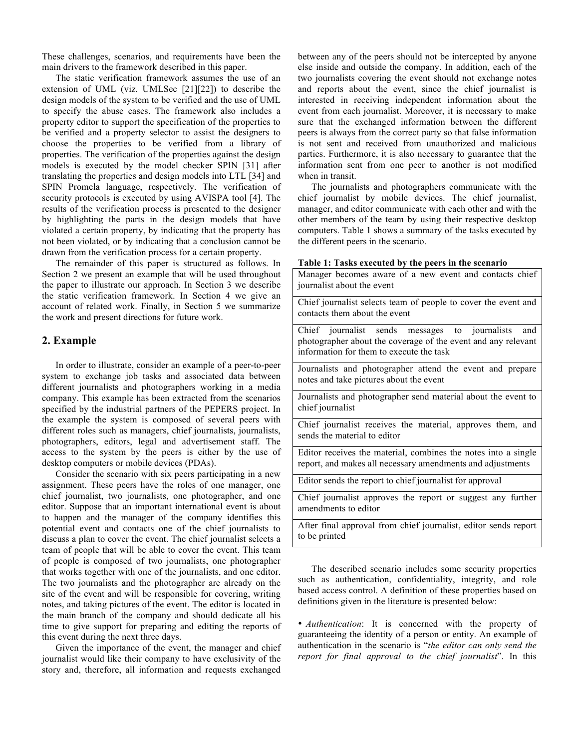These challenges, scenarios, and requirements have been the main drivers to the framework described in this paper.

The static verification framework assumes the use of an extension of UML (viz. UMLSec [21][22]) to describe the design models of the system to be verified and the use of UML to specify the abuse cases. The framework also includes a property editor to support the specification of the properties to be verified and a property selector to assist the designers to choose the properties to be verified from a library of properties. The verification of the properties against the design models is executed by the model checker SPIN [31] after translating the properties and design models into LTL [34] and SPIN Promela language, respectively. The verification of security protocols is executed by using AVISPA tool [4]. The results of the verification process is presented to the designer by highlighting the parts in the design models that have violated a certain property, by indicating that the property has not been violated, or by indicating that a conclusion cannot be drawn from the verification process for a certain property.

The remainder of this paper is structured as follows. In Section 2 we present an example that will be used throughout the paper to illustrate our approach. In Section 3 we describe the static verification framework. In Section 4 we give an account of related work. Finally, in Section 5 we summarize the work and present directions for future work.

# **2. Example**

In order to illustrate, consider an example of a peer-to-peer system to exchange job tasks and associated data between different journalists and photographers working in a media company. This example has been extracted from the scenarios specified by the industrial partners of the PEPERS project. In the example the system is composed of several peers with different roles such as managers, chief journalists, journalists, photographers, editors, legal and advertisement staff. The access to the system by the peers is either by the use of desktop computers or mobile devices (PDAs).

Consider the scenario with six peers participating in a new assignment. These peers have the roles of one manager, one chief journalist, two journalists, one photographer, and one editor. Suppose that an important international event is about to happen and the manager of the company identifies this potential event and contacts one of the chief journalists to discuss a plan to cover the event. The chief journalist selects a team of people that will be able to cover the event. This team of people is composed of two journalists, one photographer that works together with one of the journalists, and one editor. The two journalists and the photographer are already on the site of the event and will be responsible for covering, writing notes, and taking pictures of the event. The editor is located in the main branch of the company and should dedicate all his time to give support for preparing and editing the reports of this event during the next three days.

Given the importance of the event, the manager and chief journalist would like their company to have exclusivity of the story and, therefore, all information and requests exchanged

between any of the peers should not be intercepted by anyone else inside and outside the company. In addition, each of the two journalists covering the event should not exchange notes and reports about the event, since the chief journalist is interested in receiving independent information about the event from each journalist. Moreover, it is necessary to make sure that the exchanged information between the different peers is always from the correct party so that false information is not sent and received from unauthorized and malicious parties. Furthermore, it is also necessary to guarantee that the information sent from one peer to another is not modified when in transit.

The journalists and photographers communicate with the chief journalist by mobile devices. The chief journalist, manager, and editor communicate with each other and with the other members of the team by using their respective desktop computers. Table 1 shows a summary of the tasks executed by the different peers in the scenario.

#### **Table 1: Tasks executed by the peers in the scenario**

Manager becomes aware of a new event and contacts chief journalist about the event

Chief journalist selects team of people to cover the event and contacts them about the event

Chief journalist sends messages to journalists and photographer about the coverage of the event and any relevant information for them to execute the task

Journalists and photographer attend the event and prepare notes and take pictures about the event

Journalists and photographer send material about the event to chief journalist

Chief journalist receives the material, approves them, and sends the material to editor

Editor receives the material, combines the notes into a single report, and makes all necessary amendments and adjustments

Editor sends the report to chief journalist for approval

Chief journalist approves the report or suggest any further amendments to editor

After final approval from chief journalist, editor sends report to be printed

The described scenario includes some security properties such as authentication, confidentiality, integrity, and role based access control. A definition of these properties based on definitions given in the literature is presented below:

• *Authentication*: It is concerned with the property of guaranteeing the identity of a person or entity. An example of authentication in the scenario is "*the editor can only send the report for final approval to the chief journalist*". In this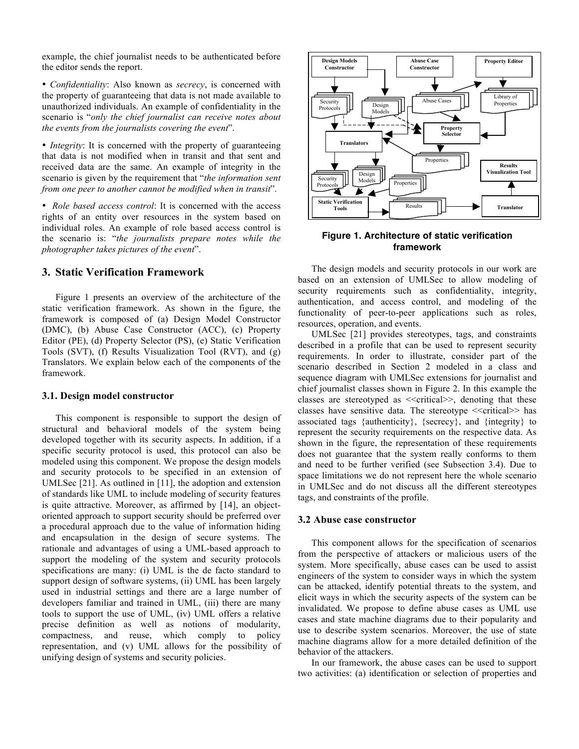example, the chief journalist needs to be authenticated before the editor sends the report.

• *Confidentiality*: Also known as *secrecy*, is concerned with the property of guaranteeing that data is not made available to unauthorized individuals. An example of confidentiality in the scenario is "*only the chief journalist can receive notes about the events from the journalists covering the event*".

• *Integrity*: It is concerned with the property of guaranteeing that data is not modified when in transit and that sent and received data are the same. An example of integrity in the scenario is given by the requirement that "*the information sent from one peer to another cannot be modified when in transit*".

• *Role based access control*: It is concerned with the access rights of an entity over resources in the system based on individual roles. An example of role based access control is the scenario is: "*the journalists prepare notes while the photographer takes pictures of the event*".

# **3. Static Verification Framework**

Figure 1 presents an overview of the architecture of the static verification framework. As shown in the figure, the framework is composed of (a) Design Model Constructor (DMC), (b) Abuse Case Constructor (ACC), (c) Property Editor (PE), (d) Property Selector (PS), (e) Static Verification Tools (SVT), (f) Results Visualization Tool (RVT), and (g) Translators. We explain below each of the components of the framework.

#### **3.1. Design model constructor**

This component is responsible to support the design of structural and behavioral models of the system being developed together with its security aspects. In addition, if a specific security protocol is used, this protocol can also be modeled using this component. We propose the design models and security protocols to be specified in an extension of UMLSec [21]. As outlined in [11], the adoption and extension of standards like UML to include modeling of security features is quite attractive. Moreover, as affirmed by [14], an objectoriented approach to support security should be preferred over a procedural approach due to the value of information hiding and encapsulation in the design of secure systems. The rationale and advantages of using a UML-based approach to support the modeling of the system and security protocols specifications are many: (i) UML is the de facto standard to support design of software systems, (ii) UML has been largely used in industrial settings and there are a large number of developers familiar and trained in UML, (iii) there are many tools to support the use of UML, (iv) UML offers a relative precise definition as well as notions of modularity, compactness, and reuse, which comply to policy representation, and (v) UML allows for the possibility of unifying design of systems and security policies.



# **Figure 1. Architecture of static verification framework**

The design models and security protocols in our work are based on an extension of UMLSec to allow modeling of security requirements such as confidentiality, integrity, authentication, and access control, and modeling of the functionality of peer-to-peer applications such as roles, resources, operation, and events.

UMLSec [21] provides stereotypes, tags, and constraints described in a profile that can be used to represent security requirements. In order to illustrate, consider part of the scenario described in Section 2 modeled in a class and sequence diagram with UMLSec extensions for journalist and chief journalist classes shown in Figure 2. In this example the classes are stereotyped as  $\le$ critical>>, denoting that these classes have sensitive data. The stereotype <<critical>> has associated tags {authenticity}, {secrecy}, and {integrity} to represent the security requirements on the respective data. As shown in the figure, the representation of these requirements does not guarantee that the system really conforms to them and need to be further verified (see Subsection 3.4). Due to space limitations we do not represent here the whole scenario in UMLSec and do not discuss all the different stereotypes tags, and constraints of the profile.

#### **3.2 Abuse case constructor**

This component allows for the specification of scenarios from the perspective of attackers or malicious users of the system. More specifically, abuse cases can be used to assist engineers of the system to consider ways in which the system can be attacked, identify potential threats to the system, and elicit ways in which the security aspects of the system can be invalidated. We propose to define abuse cases as UML use cases and state machine diagrams due to their popularity and use to describe system scenarios. Moreover, the use of state machine diagrams allow for a more detailed definition of the behavior of the attackers.

In our framework, the abuse cases can be used to support two activities: (a) identification or selection of properties and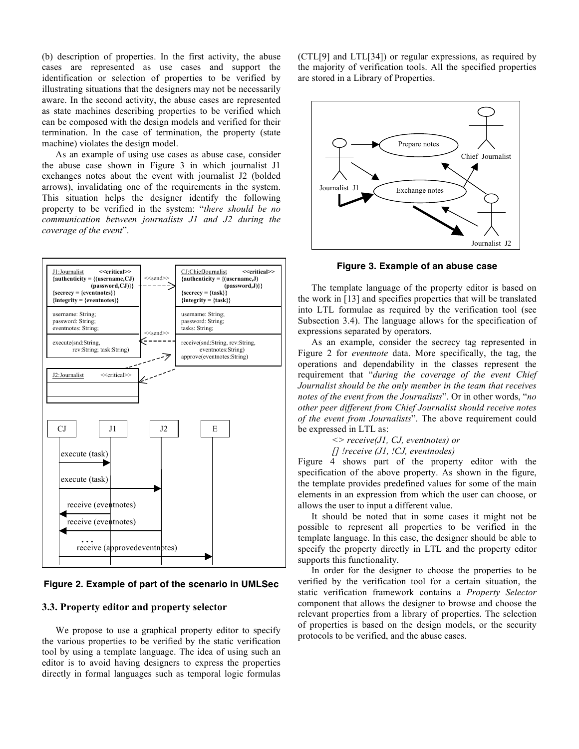(b) description of properties. In the first activity, the abuse cases are represented as use cases and support the identification or selection of properties to be verified by illustrating situations that the designers may not be necessarily aware. In the second activity, the abuse cases are represented as state machines describing properties to be verified which can be composed with the design models and verified for their termination. In the case of termination, the property (state machine) violates the design model.

As an example of using use cases as abuse case, consider the abuse case shown in Figure 3 in which journalist J1 exchanges notes about the event with journalist J2 (bolded arrows), invalidating one of the requirements in the system. This situation helps the designer identify the following property to be verified in the system: "*there should be no communication between journalists J1 and J2 during the coverage of the event*".



## **Figure 2. Example of part of the scenario in UMLSec**

#### **3.3. Property editor and property selector**

We propose to use a graphical property editor to specify the various properties to be verified by the static verification tool by using a template language. The idea of using such an editor is to avoid having designers to express the properties directly in formal languages such as temporal logic formulas

(CTL[9] and LTL[34]) or regular expressions, as required by the majority of verification tools. All the specified properties are stored in a Library of Properties.



**Figure 3. Example of an abuse case**

The template language of the property editor is based on the work in [13] and specifies properties that will be translated into LTL formulae as required by the verification tool (see Subsection 3.4). The language allows for the specification of expressions separated by operators.

As an example, consider the secrecy tag represented in Figure 2 for *eventnote* data. More specifically, the tag, the operations and dependability in the classes represent the requirement that "*during the coverage of the event Chief Journalist should be the only member in the team that receives notes of the event from the Journalists*". Or in other words, "*no other peer different from Chief Journalist should receive notes of the event from Journalists*". The above requirement could be expressed in LTL as:

> *<> receive(J1, CJ, eventnotes) or [] !receive (J1, !CJ, eventnodes)*

Figure 4 shows part of the property editor with the specification of the above property. As shown in the figure, the template provides predefined values for some of the main elements in an expression from which the user can choose, or allows the user to input a different value.

It should be noted that in some cases it might not be possible to represent all properties to be verified in the template language. In this case, the designer should be able to specify the property directly in LTL and the property editor supports this functionality.

In order for the designer to choose the properties to be verified by the verification tool for a certain situation, the static verification framework contains a *Property Selector* component that allows the designer to browse and choose the relevant properties from a library of properties. The selection of properties is based on the design models, or the security protocols to be verified, and the abuse cases.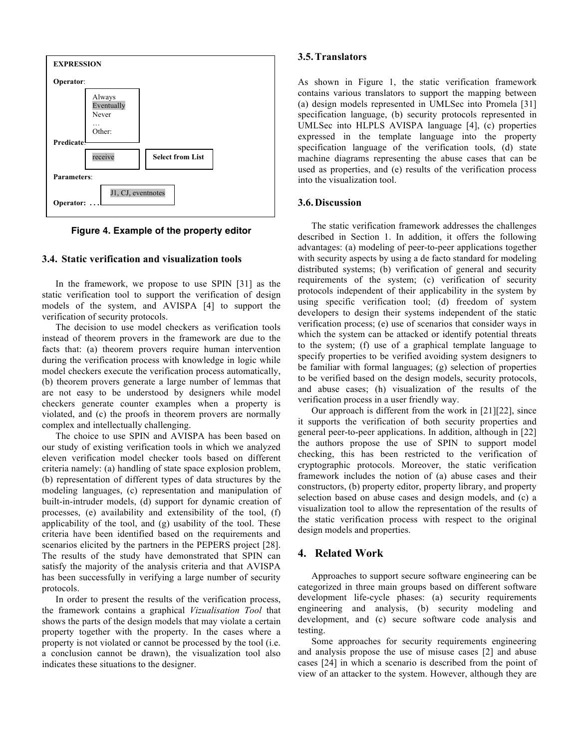

**Figure 4. Example of the property editor**

#### **3.4. Static verification and visualization tools**

In the framework, we propose to use SPIN [31] as the static verification tool to support the verification of design models of the system, and AVISPA [4] to support the verification of security protocols.

The decision to use model checkers as verification tools instead of theorem provers in the framework are due to the facts that: (a) theorem provers require human intervention during the verification process with knowledge in logic while model checkers execute the verification process automatically, (b) theorem provers generate a large number of lemmas that are not easy to be understood by designers while model checkers generate counter examples when a property is violated, and (c) the proofs in theorem provers are normally complex and intellectually challenging.

The choice to use SPIN and AVISPA has been based on our study of existing verification tools in which we analyzed eleven verification model checker tools based on different criteria namely: (a) handling of state space explosion problem, (b) representation of different types of data structures by the modeling languages, (c) representation and manipulation of built-in-intruder models, (d) support for dynamic creation of processes, (e) availability and extensibility of the tool, (f) applicability of the tool, and (g) usability of the tool. These criteria have been identified based on the requirements and scenarios elicited by the partners in the PEPERS project [28]. The results of the study have demonstrated that SPIN can satisfy the majority of the analysis criteria and that AVISPA has been successfully in verifying a large number of security protocols.

In order to present the results of the verification process, the framework contains a graphical *Vizualisation Tool* that shows the parts of the design models that may violate a certain property together with the property. In the cases where a property is not violated or cannot be processed by the tool (i.e. a conclusion cannot be drawn), the visualization tool also indicates these situations to the designer.

#### **3.5.Translators**

As shown in Figure 1, the static verification framework contains various translators to support the mapping between (a) design models represented in UMLSec into Promela [31] specification language, (b) security protocols represented in UMLSec into HLPLS AVISPA language [4], (c) properties expressed in the template language into the property specification language of the verification tools, (d) state machine diagrams representing the abuse cases that can be used as properties, and (e) results of the verification process into the visualization tool.

#### **3.6.Discussion**

The static verification framework addresses the challenges described in Section 1. In addition, it offers the following advantages: (a) modeling of peer-to-peer applications together with security aspects by using a de facto standard for modeling distributed systems; (b) verification of general and security requirements of the system; (c) verification of security protocols independent of their applicability in the system by using specific verification tool; (d) freedom of system developers to design their systems independent of the static verification process; (e) use of scenarios that consider ways in which the system can be attacked or identify potential threats to the system; (f) use of a graphical template language to specify properties to be verified avoiding system designers to be familiar with formal languages; (g) selection of properties to be verified based on the design models, security protocols, and abuse cases; (h) visualization of the results of the verification process in a user friendly way.

Our approach is different from the work in [21][22], since it supports the verification of both security properties and general peer-to-peer applications. In addition, although in [22] the authors propose the use of SPIN to support model checking, this has been restricted to the verification of cryptographic protocols. Moreover, the static verification framework includes the notion of (a) abuse cases and their constructors, (b) property editor, property library, and property selection based on abuse cases and design models, and (c) a visualization tool to allow the representation of the results of the static verification process with respect to the original design models and properties.

# **4. Related Work**

Approaches to support secure software engineering can be categorized in three main groups based on different software development life-cycle phases: (a) security requirements engineering and analysis, (b) security modeling and development, and (c) secure software code analysis and testing.

Some approaches for security requirements engineering and analysis propose the use of misuse cases [2] and abuse cases [24] in which a scenario is described from the point of view of an attacker to the system. However, although they are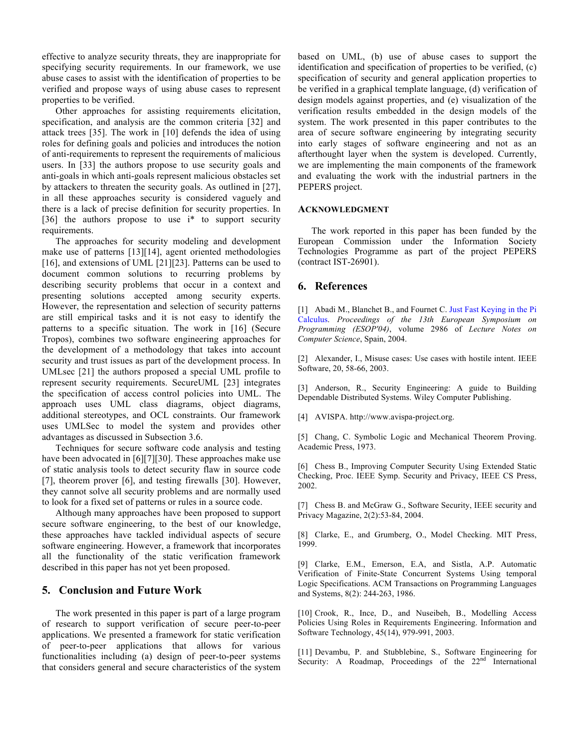effective to analyze security threats, they are inappropriate for specifying security requirements. In our framework, we use abuse cases to assist with the identification of properties to be verified and propose ways of using abuse cases to represent properties to be verified.

Other approaches for assisting requirements elicitation, specification, and analysis are the common criteria [32] and attack trees [35]. The work in [10] defends the idea of using roles for defining goals and policies and introduces the notion of anti-requirements to represent the requirements of malicious users. In [33] the authors propose to use security goals and anti-goals in which anti-goals represent malicious obstacles set by attackers to threaten the security goals. As outlined in [27], in all these approaches security is considered vaguely and there is a lack of precise definition for security properties. In [36] the authors propose to use i\* to support security requirements.

The approaches for security modeling and development make use of patterns [13][14], agent oriented methodologies [16], and extensions of UML [21][23]. Patterns can be used to document common solutions to recurring problems by describing security problems that occur in a context and presenting solutions accepted among security experts. However, the representation and selection of security patterns are still empirical tasks and it is not easy to identify the patterns to a specific situation. The work in [16] (Secure Tropos), combines two software engineering approaches for the development of a methodology that takes into account security and trust issues as part of the development process. In UMLsec [21] the authors proposed a special UML profile to represent security requirements. SecureUML [23] integrates the specification of access control policies into UML. The approach uses UML class diagrams, object diagrams, additional stereotypes, and OCL constraints. Our framework uses UMLSec to model the system and provides other advantages as discussed in Subsection 3.6.

Techniques for secure software code analysis and testing have been advocated in [6][7][30]. These approaches make use of static analysis tools to detect security flaw in source code [7], theorem prover [6], and testing firewalls [30]. However, they cannot solve all security problems and are normally used to look for a fixed set of patterns or rules in a source code.

Although many approaches have been proposed to support secure software engineering, to the best of our knowledge, these approaches have tackled individual aspects of secure software engineering. However, a framework that incorporates all the functionality of the static verification framework described in this paper has not yet been proposed.

# **5. Conclusion and Future Work**

The work presented in this paper is part of a large program of research to support verification of secure peer-to-peer applications. We presented a framework for static verification of peer-to-peer applications that allows for various functionalities including (a) design of peer-to-peer systems that considers general and secure characteristics of the system

based on UML, (b) use of abuse cases to support the identification and specification of properties to be verified, (c) specification of security and general application properties to be verified in a graphical template language, (d) verification of design models against properties, and (e) visualization of the verification results embedded in the design models of the system. The work presented in this paper contributes to the area of secure software engineering by integrating security into early stages of software engineering and not as an afterthought layer when the system is developed. Currently, we are implementing the main components of the framework and evaluating the work with the industrial partners in the PEPERS project.

#### **ACKNOWLEDGMENT**

The work reported in this paper has been funded by the European Commission under the Information Society Technologies Programme as part of the project PEPERS (contract IST-26901).

# **6. References**

[1] Abadi M., Blanchet B., and Fournet C. Just Fast Keying in the Pi Calculus. *Proceedings of the 13th European Symposium on Programming (ESOP'04)*, volume 2986 of *Lecture Notes on Computer Science*, Spain, 2004.

[2] Alexander, I., Misuse cases: Use cases with hostile intent. IEEE Software, 20, 58-66, 2003.

[3] Anderson, R., Security Engineering: A guide to Building Dependable Distributed Systems. Wiley Computer Publishing.

[4] AVISPA. http://www.avispa-project.org.

[5] Chang, C. Symbolic Logic and Mechanical Theorem Proving. Academic Press, 1973.

[6] Chess B., Improving Computer Security Using Extended Static Checking, Proc. IEEE Symp. Security and Privacy, IEEE CS Press, 2002.

[7] Chess B. and McGraw G., Software Security, IEEE security and Privacy Magazine, 2(2):53-84, 2004.

[8] Clarke, E., and Grumberg, O., Model Checking. MIT Press, 1999.

[9] Clarke, E.M., Emerson, E.A, and Sistla, A.P. Automatic Verification of Finite-State Concurrent Systems Using temporal Logic Specifications. ACM Transactions on Programming Languages and Systems, 8(2): 244-263, 1986.

[10] Crook, R., Ince, D., and Nuseibeh, B., Modelling Access Policies Using Roles in Requirements Engineering. Information and Software Technology, 45(14), 979-991, 2003.

[11] Devambu, P. and Stubblebine, S., Software Engineering for Security: A Roadmap, Proceedings of the  $22<sup>nd</sup>$  International